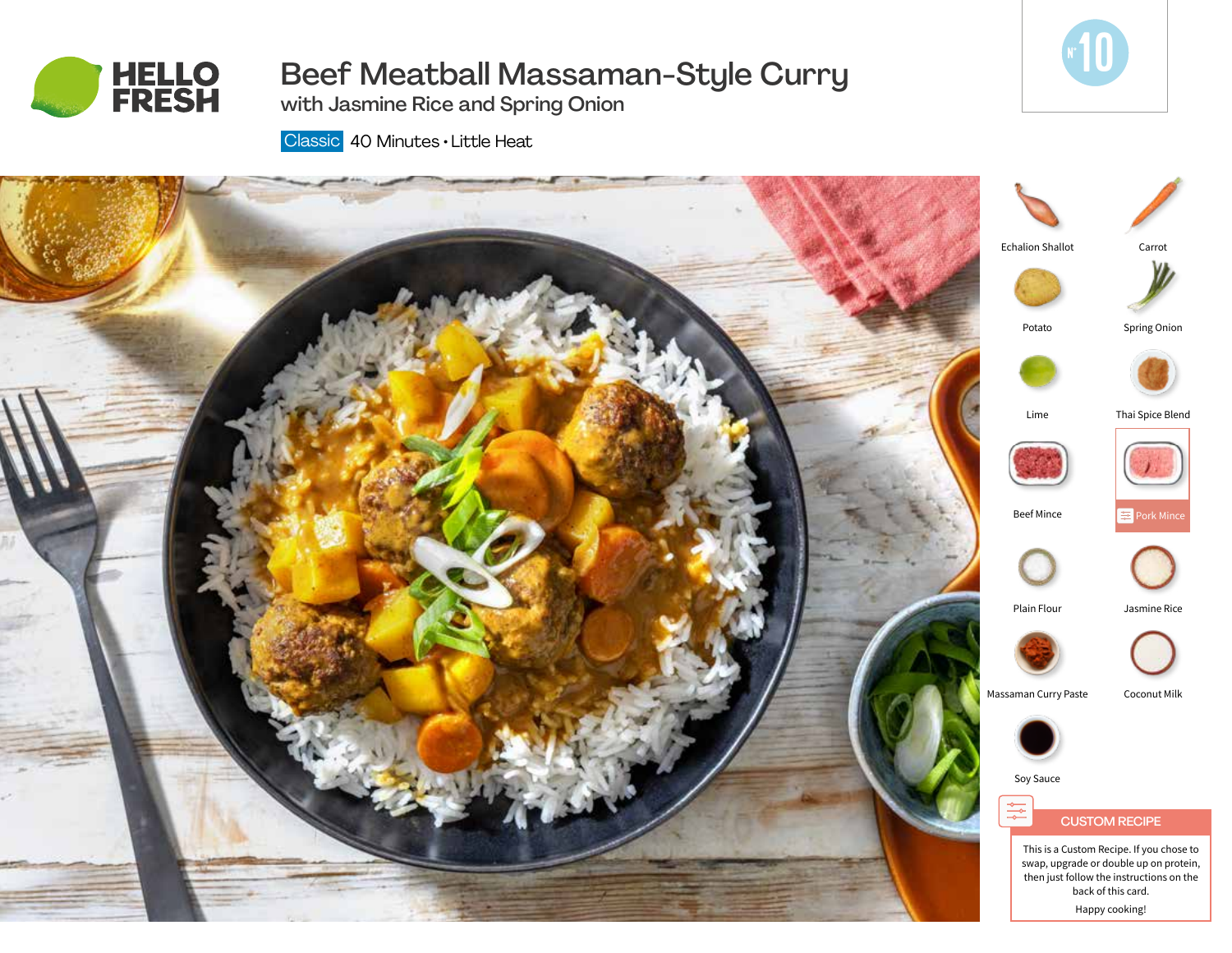

# Beef Meatball Massaman-Style Curry

**10** 

Classic 40 Minutes • Little Heat

with Jasmine Rice and Spring Onion